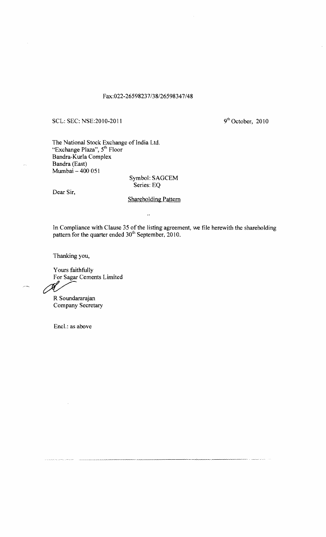## Fax:022-26598237/38/26598347/48

## SCL: SEC: NSE:2010-2011 9<sup>th</sup> October, 2010

The National Stock Exchange of India Ltd. "Exchange Plaza", 5<sup>th</sup> Floor Bandra-Kurla Complex Bandra (East) Mumbai - 400 051

> Symbol: SAGCEM Series: EQ

Dear Sir,

## Shareholding Pattern

 $\ddot{\phantom{a}}$ 

In Compliance with Clause 35 of the listing agreement, we file herewith the shareholding pattern for the quarter ended 30<sup>th</sup> September, 2010.

Thanking you,

Yours faithfully Fours faithfully<br>For Sagar Cements Limited<br>R Soundararaian

R Soundararajan Company Secretary

Encl.: as above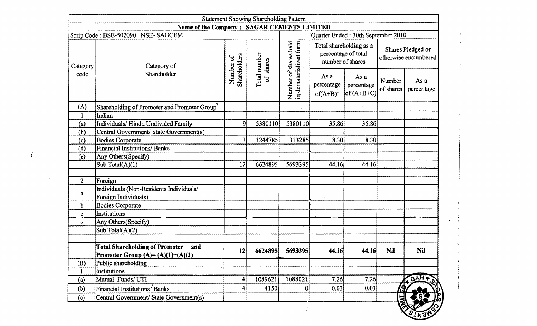|                           |                                                                                    |                           | <b>Statement Showing Shareholding Pattern</b> |                                                 |                                     |                                                |                                                                                 |                    |
|---------------------------|------------------------------------------------------------------------------------|---------------------------|-----------------------------------------------|-------------------------------------------------|-------------------------------------|------------------------------------------------|---------------------------------------------------------------------------------|--------------------|
|                           | Name of the Company: SAGAR CEMENTS LIMITED                                         |                           |                                               |                                                 |                                     |                                                |                                                                                 |                    |
| Category                  | Scrip Code: BSE-502090 NSE-SAGCEM<br>Category of                                   |                           |                                               | Number of shares held<br>in dematerialized form | number of shares                    | Total shareholding as a<br>percentage of total | Quarter Ended: 30th September 2010<br>Shares Pledged or<br>otherwise encumbered |                    |
| code                      | Shareholder                                                                        | Shareholders<br>Number of | Total number<br>of shares                     |                                                 | As a<br>percentage<br>$of(A+B)^{1}$ | As a<br>percentage<br>$of (A+B+C)$             | Number<br>of shares                                                             | As a<br>percentage |
| (A)                       | Shareholding of Promoter and Promoter Group <sup>2</sup>                           |                           |                                               |                                                 |                                     |                                                |                                                                                 |                    |
|                           | Indian                                                                             |                           |                                               |                                                 |                                     |                                                |                                                                                 |                    |
| (a)                       | Individuals/Hindu Undivided Family                                                 | $\overline{9}$            | 5380110                                       | 5380110                                         | 35.86                               | 35.86                                          |                                                                                 |                    |
| (b)                       | Central Government/ State Government(s)                                            |                           |                                               |                                                 |                                     |                                                |                                                                                 |                    |
| $\left( \text{c} \right)$ | <b>Bodies Corporate</b>                                                            | 31                        | 1244785                                       | 313285                                          | 8.30                                | 8.30                                           |                                                                                 |                    |
| (d)                       | <b>Financial Institutions/ Banks</b>                                               |                           |                                               |                                                 |                                     |                                                |                                                                                 |                    |
| (e)                       | Any Others (Specify)                                                               |                           |                                               |                                                 |                                     |                                                |                                                                                 |                    |
|                           | Sub Total(A)(1)                                                                    | 12                        | 6624895                                       | 5693395                                         | 44.16                               | 44.16                                          |                                                                                 |                    |
|                           |                                                                                    |                           |                                               |                                                 |                                     |                                                |                                                                                 |                    |
| $\overline{2}$            | Foreign                                                                            |                           |                                               |                                                 |                                     |                                                |                                                                                 |                    |
| a                         | Individuals (Non-Residents Individuals/                                            |                           |                                               |                                                 |                                     |                                                |                                                                                 |                    |
|                           | Foreign Individuals)                                                               |                           |                                               |                                                 |                                     |                                                |                                                                                 |                    |
| b                         | <b>Bodies Corporate</b>                                                            |                           |                                               |                                                 |                                     |                                                |                                                                                 |                    |
| $\mathbf{C}$              | Institutions                                                                       |                           |                                               |                                                 |                                     | $\mathbf{v}$ .                                 |                                                                                 |                    |
| ΥŹ.                       | Any Others(Specify)                                                                |                           |                                               |                                                 |                                     |                                                |                                                                                 |                    |
|                           | Sub Total $(A)(2)$                                                                 |                           |                                               |                                                 |                                     |                                                |                                                                                 |                    |
|                           | <b>Total Shareholding of Promoter</b><br>and<br>Promoter Group $(A)=(A)(1)+(A)(2)$ | 12                        | 6624895                                       | 5693395                                         | 44.16                               | 44.16                                          | <b>Nil</b>                                                                      | <b>Nil</b>         |
| (B)                       | Public shareholding                                                                |                           |                                               |                                                 |                                     |                                                |                                                                                 |                    |
|                           | Institutions                                                                       |                           |                                               |                                                 |                                     |                                                |                                                                                 |                    |
| (a)                       | Mutual Funds/UTI                                                                   | 4                         | 1089621                                       | 1088021                                         | 7.26                                | 7.26                                           |                                                                                 | <b>OAH+</b>        |
| (b)                       | Financial Institutions Banks                                                       |                           | 4150                                          | $\overline{0}$                                  | 0.03                                | 0.03                                           | /டி                                                                             |                    |
| (c)                       | Central Government/State Government(s)                                             |                           |                                               |                                                 |                                     |                                                | E                                                                               |                    |

 $\mathbf{v}$ 

 $\sim 10^{-1}$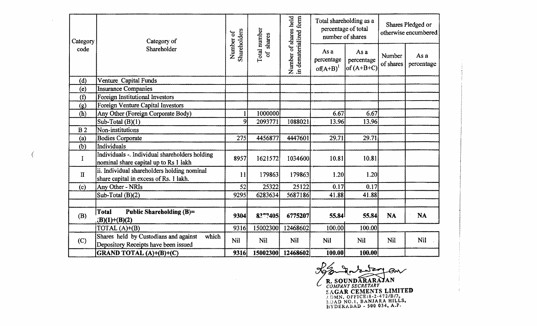| Category       | Category of                                                                             |                           | shares                         |                                                 | Total shareholding as a<br>percentage of total<br>number of shares |                                    | Shares Pledged or<br>otherwise encumbered |                    |
|----------------|-----------------------------------------------------------------------------------------|---------------------------|--------------------------------|-------------------------------------------------|--------------------------------------------------------------------|------------------------------------|-------------------------------------------|--------------------|
| code           | Shareholder                                                                             | Shareholders<br>Number of | Total number<br>$\mathfrak{b}$ | Number of shares held<br>in dematerialized form | As a<br>percentage<br>$of(A+B)^{1}$                                | As a<br>percentage<br>of $(A+B+C)$ | Number<br>of shares                       | As a<br>percentage |
| (d)            | Venture Capital Funds                                                                   |                           |                                |                                                 |                                                                    |                                    |                                           |                    |
| (e)            | <b>Insurance Companies</b>                                                              |                           |                                |                                                 |                                                                    |                                    |                                           |                    |
| (f)            | Foreign Institutional Investors                                                         |                           |                                |                                                 |                                                                    |                                    |                                           |                    |
| (g)            | Foreign Venture Capital Investors                                                       |                           |                                |                                                 |                                                                    |                                    |                                           |                    |
| (h)            | Any Other (Foreign Corporate Body)                                                      |                           | 1000000                        |                                                 | 6.67                                                               | 6.67                               |                                           |                    |
|                | Sub-Total $(B)(1)$                                                                      | 9                         | 2093771                        | 1088021                                         | 13.96                                                              | 13.96                              |                                           |                    |
| B <sub>2</sub> | Non-institutions                                                                        |                           |                                |                                                 |                                                                    |                                    |                                           |                    |
| (a)            | <b>Bodies Corporate</b>                                                                 | 275                       | 4456877                        | 4447601                                         | 29.71                                                              | 29.71                              |                                           |                    |
| (b)            | Individuals                                                                             |                           |                                |                                                 |                                                                    |                                    |                                           |                    |
| I              | Individuals -. Individual shareholders holding<br>nominal share capital up to Rs 1 lakh | 8957                      | 1621572                        | 1034600                                         | 10.81                                                              | 10.81                              |                                           |                    |
| $\mathbf{H}$   | ii. Individual shareholders holding nominal<br>share capital in excess of Rs. 1 lakh.   | 11                        | 179863                         | 179863                                          | 1.20                                                               | 1.20                               |                                           |                    |
| (c)            | Any Other - NRIs                                                                        | 52                        | 25322                          | 25122                                           | 0.17                                                               | 0.17                               |                                           |                    |
|                | Sub-Total $(B)(2)$                                                                      | 9295                      | 6283634                        | 5687186                                         | 41.88                                                              | 41.88                              |                                           |                    |
|                |                                                                                         |                           |                                |                                                 |                                                                    |                                    |                                           |                    |
| $(B)$ .        | Total<br>Public Shareholding (B)=<br>$(B)(1)+(B)(2)$                                    | 9304                      | 8277405                        | 6775207                                         | 55.84                                                              | 55.84                              | <b>NA</b>                                 | <b>NA</b>          |
|                | TOTAL $(A)+(B)$                                                                         | 9316                      | 15002300                       | 12468602                                        | 100.00                                                             | 100.00                             |                                           |                    |
| (C)            | Shares held by Custodians and against<br>which<br>Depository Receipts have been issued  | Nil                       | <b>Nil</b>                     | <b>Nil</b>                                      | <b>Nil</b>                                                         | <b>Nil</b>                         | Nil                                       | <b>Nil</b>         |
|                | GRAND TOTAL (A)+(B)+(C)                                                                 | 9316                      | 15002300                       | 12468602                                        | 100.00                                                             | 100.00                             |                                           |                    |

(

**COMPANY SECRETARY**<br> **COMPANY SECRETARY**<br>
SAGAR CEMENTS LIMITED J.DMN.OFFICE:S·2-472/B/7., LOAD NO.1, BANJARA HILLS, HYDERABAD - 500 034, A.P.